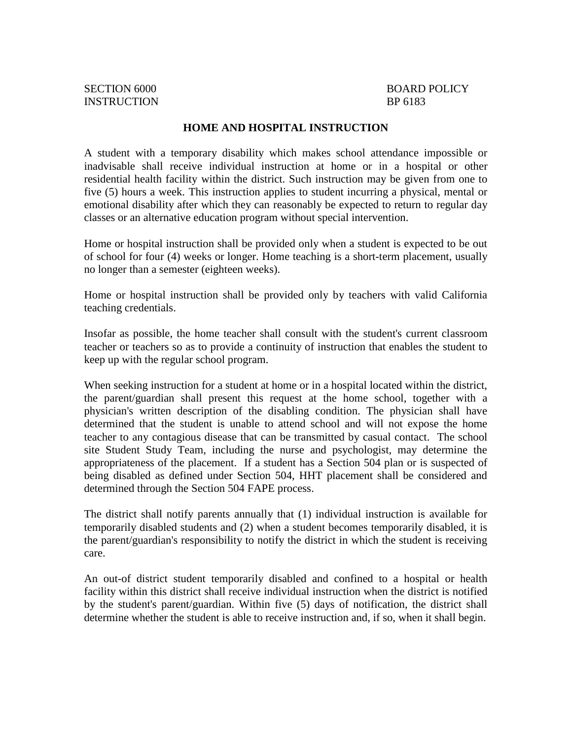#### **HOME AND HOSPITAL INSTRUCTION**

A student with a temporary disability which makes school attendance impossible or inadvisable shall receive individual instruction at home or in a hospital or other residential health facility within the district. Such instruction may be given from one to five (5) hours a week. This instruction applies to student incurring a physical, mental or emotional disability after which they can reasonably be expected to return to regular day classes or an alternative education program without special intervention.

Home or hospital instruction shall be provided only when a student is expected to be out of school for four (4) weeks or longer. Home teaching is a short-term placement, usually no longer than a semester (eighteen weeks).

Home or hospital instruction shall be provided only by teachers with valid California teaching credentials.

Insofar as possible, the home teacher shall consult with the student's current classroom teacher or teachers so as to provide a continuity of instruction that enables the student to keep up with the regular school program.

When seeking instruction for a student at home or in a hospital located within the district, the parent/guardian shall present this request at the home school, together with a physician's written description of the disabling condition. The physician shall have determined that the student is unable to attend school and will not expose the home teacher to any contagious disease that can be transmitted by casual contact. The school site Student Study Team, including the nurse and psychologist, may determine the appropriateness of the placement. If a student has a Section 504 plan or is suspected of being disabled as defined under Section 504, HHT placement shall be considered and determined through the Section 504 FAPE process.

The district shall notify parents annually that (1) individual instruction is available for temporarily disabled students and (2) when a student becomes temporarily disabled, it is the parent/guardian's responsibility to notify the district in which the student is receiving care.

An out-of district student temporarily disabled and confined to a hospital or health facility within this district shall receive individual instruction when the district is notified by the student's parent/guardian. Within five (5) days of notification, the district shall determine whether the student is able to receive instruction and, if so, when it shall begin.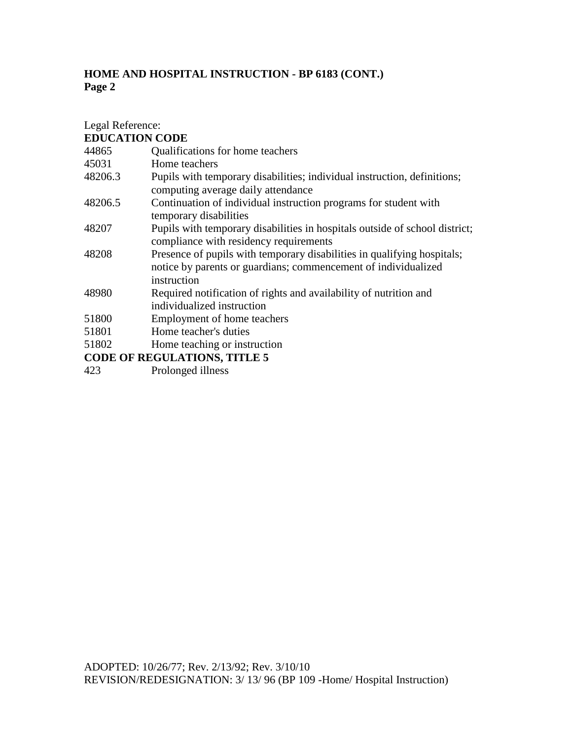| Legal Reference: |                                                                                                                                                          |
|------------------|----------------------------------------------------------------------------------------------------------------------------------------------------------|
|                  | <b>EDUCATION CODE</b>                                                                                                                                    |
| 44865            | Qualifications for home teachers                                                                                                                         |
| 45031            | Home teachers                                                                                                                                            |
| 48206.3          | Pupils with temporary disabilities; individual instruction, definitions;<br>computing average daily attendance                                           |
| 48206.5          | Continuation of individual instruction programs for student with<br>temporary disabilities                                                               |
| 48207            | Pupils with temporary disabilities in hospitals outside of school district;<br>compliance with residency requirements                                    |
| 48208            | Presence of pupils with temporary disabilities in qualifying hospitals;<br>notice by parents or guardians; commencement of individualized<br>instruction |
| 48980            | Required notification of rights and availability of nutrition and<br>individualized instruction                                                          |
| 51800            | Employment of home teachers                                                                                                                              |
| 51801            | Home teacher's duties                                                                                                                                    |
| 51802            | Home teaching or instruction                                                                                                                             |
|                  | <b>CODE OF REGULATIONS, TITLE 5</b>                                                                                                                      |
|                  |                                                                                                                                                          |

423 Prolonged illness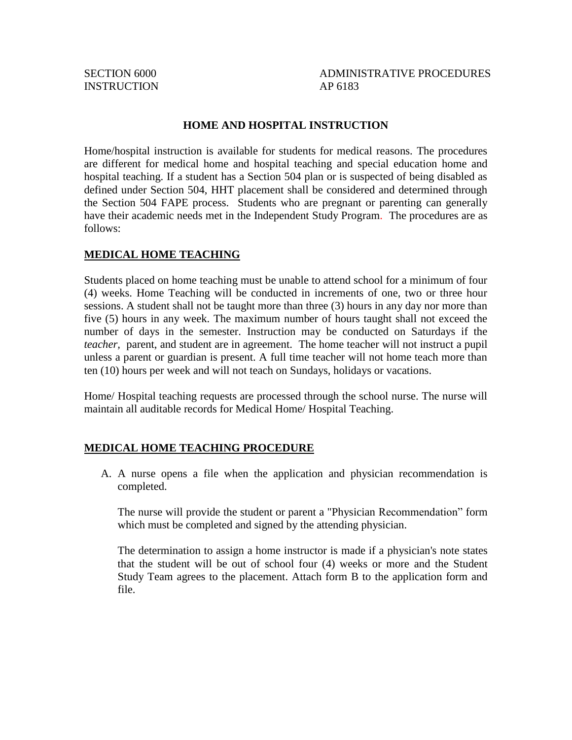INSTRUCTION AP 6183

SECTION 6000 ADMINISTRATIVE PROCEDURES

#### **HOME AND HOSPITAL INSTRUCTION**

Home/hospital instruction is available for students for medical reasons. The procedures are different for medical home and hospital teaching and special education home and hospital teaching. If a student has a Section 504 plan or is suspected of being disabled as defined under Section 504, HHT placement shall be considered and determined through the Section 504 FAPE process. Students who are pregnant or parenting can generally have their academic needs met in the Independent Study Program*.* The procedures are as follows:

#### **MEDICAL HOME TEACHING**

Students placed on home teaching must be unable to attend school for a minimum of four (4) weeks. Home Teaching will be conducted in increments of one, two or three hour sessions. A student shall not be taught more than three (3) hours in any day nor more than five (5) hours in any week. The maximum number of hours taught shall not exceed the number of days in the semester. Instruction may be conducted on Saturdays if the *teacher,* parent, and student are in agreement. The home teacher will not instruct a pupil unless a parent or guardian is present. A full time teacher will not home teach more than ten (10) hours per week and will not teach on Sundays, holidays or vacations.

Home/ Hospital teaching requests are processed through the school nurse. The nurse will maintain all auditable records for Medical Home/ Hospital Teaching.

### **MEDICAL HOME TEACHING PROCEDURE**

A. A nurse opens a file when the application and physician recommendation is completed.

The nurse will provide the student or parent a "Physician Recommendation" form which must be completed and signed by the attending physician.

The determination to assign a home instructor is made if a physician's note states that the student will be out of school four (4) weeks or more and the Student Study Team agrees to the placement. Attach form B to the application form and file.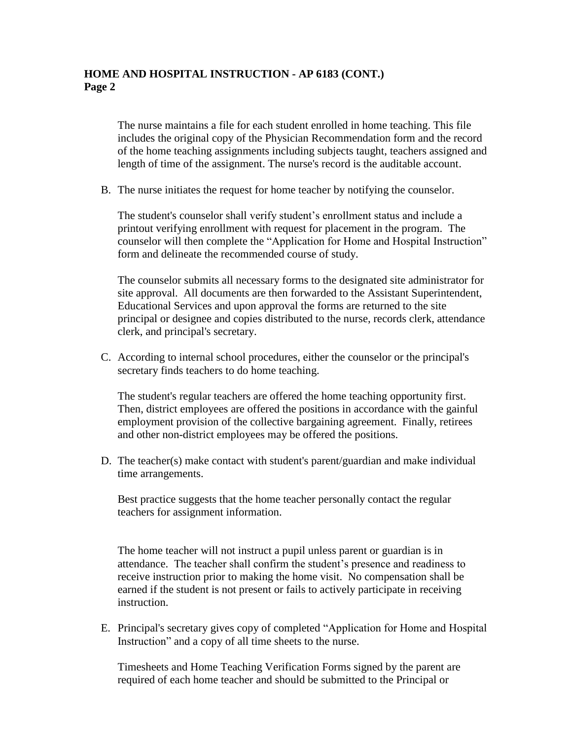The nurse maintains a file for each student enrolled in home teaching. This file includes the original copy of the Physician Recommendation form and the record of the home teaching assignments including subjects taught, teachers assigned and length of time of the assignment. The nurse's record is the auditable account.

B. The nurse initiates the request for home teacher by notifying the counselor.

The student's counselor shall verify student's enrollment status and include a printout verifying enrollment with request for placement in the program. The counselor will then complete the "Application for Home and Hospital Instruction" form and delineate the recommended course of study.

The counselor submits all necessary forms to the designated site administrator for site approval. All documents are then forwarded to the Assistant Superintendent, Educational Services and upon approval the forms are returned to the site principal or designee and copies distributed to the nurse, records clerk, attendance clerk, and principal's secretary.

C. According to internal school procedures, either the counselor or the principal's secretary finds teachers to do home teaching.

The student's regular teachers are offered the home teaching opportunity first. Then, district employees are offered the positions in accordance with the gainful employment provision of the collective bargaining agreement. Finally, retirees and other non-district employees may be offered the positions.

D. The teacher(s) make contact with student's parent/guardian and make individual time arrangements.

Best practice suggests that the home teacher personally contact the regular teachers for assignment information.

The home teacher will not instruct a pupil unless parent or guardian is in attendance. The teacher shall confirm the student's presence and readiness to receive instruction prior to making the home visit. No compensation shall be earned if the student is not present or fails to actively participate in receiving instruction.

E. Principal's secretary gives copy of completed "Application for Home and Hospital Instruction" and a copy of all time sheets to the nurse.

Timesheets and Home Teaching Verification Forms signed by the parent are required of each home teacher and should be submitted to the Principal or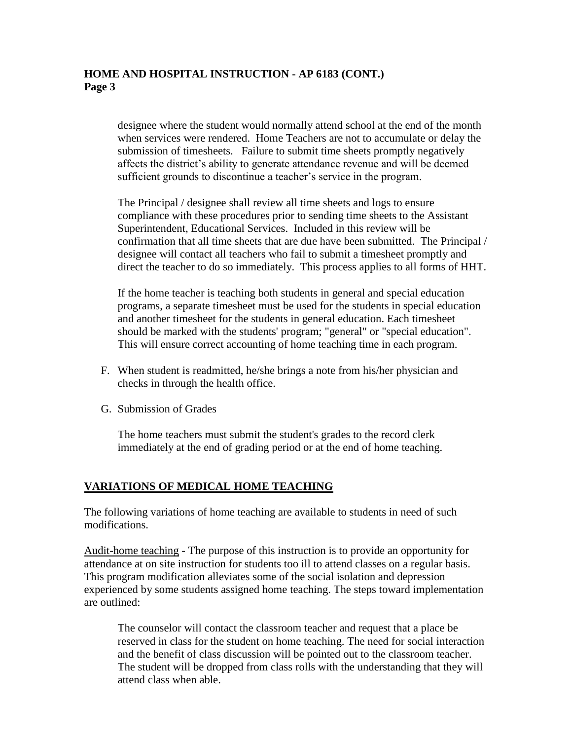designee where the student would normally attend school at the end of the month when services were rendered. Home Teachers are not to accumulate or delay the submission of timesheets. Failure to submit time sheets promptly negatively affects the district's ability to generate attendance revenue and will be deemed sufficient grounds to discontinue a teacher's service in the program.

The Principal / designee shall review all time sheets and logs to ensure compliance with these procedures prior to sending time sheets to the Assistant Superintendent, Educational Services. Included in this review will be confirmation that all time sheets that are due have been submitted. The Principal / designee will contact all teachers who fail to submit a timesheet promptly and direct the teacher to do so immediately. This process applies to all forms of HHT.

If the home teacher is teaching both students in general and special education programs, a separate timesheet must be used for the students in special education and another timesheet for the students in general education. Each timesheet should be marked with the students' program; "general" or "special education". This will ensure correct accounting of home teaching time in each program.

- F. When student is readmitted, he/she brings a note from his/her physician and checks in through the health office.
- G. Submission of Grades

The home teachers must submit the student's grades to the record clerk immediately at the end of grading period or at the end of home teaching.

#### **VARIATIONS OF MEDICAL HOME TEACHING**

The following variations of home teaching are available to students in need of such modifications.

Audit-home teaching - The purpose of this instruction is to provide an opportunity for attendance at on site instruction for students too ill to attend classes on a regular basis. This program modification alleviates some of the social isolation and depression experienced by some students assigned home teaching. The steps toward implementation are outlined:

The counselor will contact the classroom teacher and request that a place be reserved in class for the student on home teaching. The need for social interaction and the benefit of class discussion will be pointed out to the classroom teacher. The student will be dropped from class rolls with the understanding that they will attend class when able.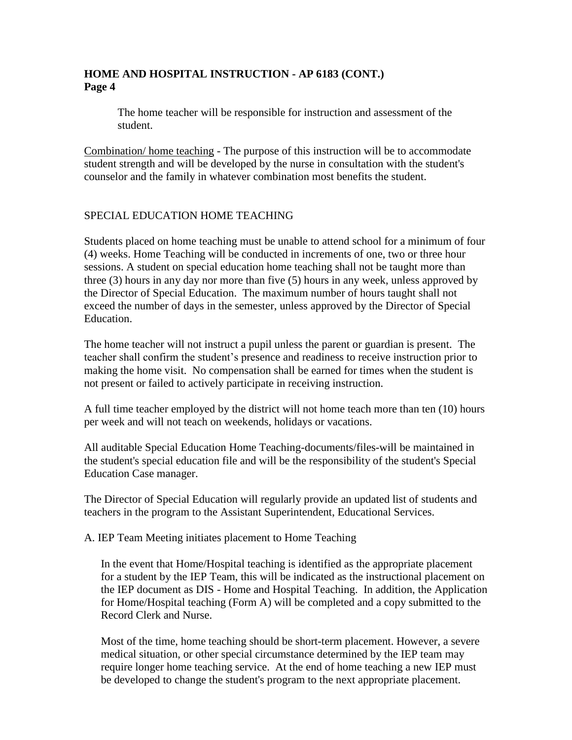The home teacher will be responsible for instruction and assessment of the student.

Combination/ home teaching - The purpose of this instruction will be to accommodate student strength and will be developed by the nurse in consultation with the student's counselor and the family in whatever combination most benefits the student.

### SPECIAL EDUCATION HOME TEACHING

Students placed on home teaching must be unable to attend school for a minimum of four (4) weeks. Home Teaching will be conducted in increments of one, two or three hour sessions. A student on special education home teaching shall not be taught more than three (3) hours in any day nor more than five (5) hours in any week, unless approved by the Director of Special Education. The maximum number of hours taught shall not exceed the number of days in the semester, unless approved by the Director of Special Education.

The home teacher will not instruct a pupil unless the parent or guardian is present. The teacher shall confirm the student's presence and readiness to receive instruction prior to making the home visit. No compensation shall be earned for times when the student is not present or failed to actively participate in receiving instruction.

A full time teacher employed by the district will not home teach more than ten (10) hours per week and will not teach on weekends, holidays or vacations.

All auditable Special Education Home Teaching-documents/files-will be maintained in the student's special education file and will be the responsibility of the student's Special Education Case manager.

The Director of Special Education will regularly provide an updated list of students and teachers in the program to the Assistant Superintendent, Educational Services.

A. IEP Team Meeting initiates placement to Home Teaching

In the event that Home/Hospital teaching is identified as the appropriate placement for a student by the IEP Team, this will be indicated as the instructional placement on the IEP document as DIS - Home and Hospital Teaching. In addition, the Application for Home/Hospital teaching (Form A) will be completed and a copy submitted to the Record Clerk and Nurse.

Most of the time, home teaching should be short-term placement. However, a severe medical situation, or other special circumstance determined by the IEP team may require longer home teaching service. At the end of home teaching a new IEP must be developed to change the student's program to the next appropriate placement.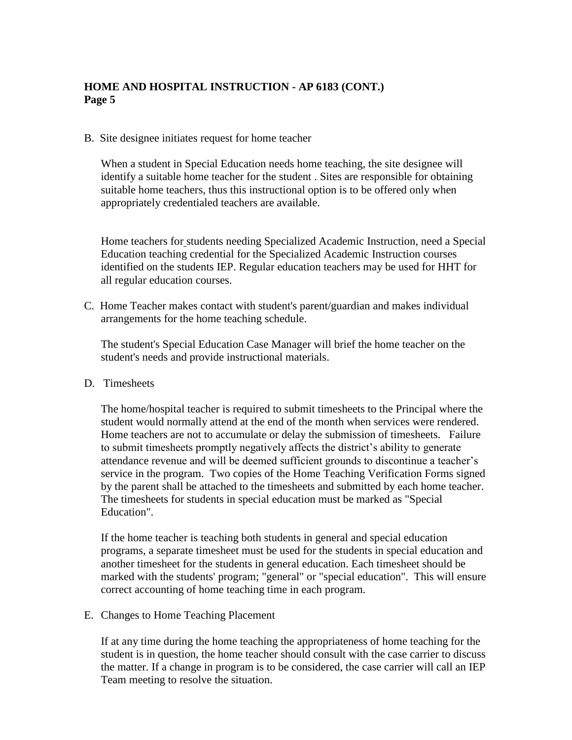B. Site designee initiates request for home teacher

When a student in Special Education needs home teaching, the site designee will identify a suitable home teacher for the student . Sites are responsible for obtaining suitable home teachers, thus this instructional option is to be offered only when appropriately credentialed teachers are available.

Home teachers for students needing Specialized Academic Instruction, need a Special Education teaching credential for the Specialized Academic Instruction courses identified on the students IEP. Regular education teachers may be used for HHT for all regular education courses.

C. Home Teacher makes contact with student's parent/guardian and makes individual arrangements for the home teaching schedule.

The student's Special Education Case Manager will brief the home teacher on the student's needs and provide instructional materials.

D. Timesheets

The home/hospital teacher is required to submit timesheets to the Principal where the student would normally attend at the end of the month when services were rendered. Home teachers are not to accumulate or delay the submission of timesheets. Failure to submit timesheets promptly negatively affects the district's ability to generate attendance revenue and will be deemed sufficient grounds to discontinue a teacher's service in the program. Two copies of the Home Teaching Verification Forms signed by the parent shall be attached to the timesheets and submitted by each home teacher. The timesheets for students in special education must be marked as "Special Education".

If the home teacher is teaching both students in general and special education programs, a separate timesheet must be used for the students in special education and another timesheet for the students in general education. Each timesheet should be marked with the students' program; "general" or "special education". This will ensure correct accounting of home teaching time in each program.

E. Changes to Home Teaching Placement

If at any time during the home teaching the appropriateness of home teaching for the student is in question, the home teacher should consult with the case carrier to discuss the matter. If a change in program is to be considered, the case carrier will call an IEP Team meeting to resolve the situation.